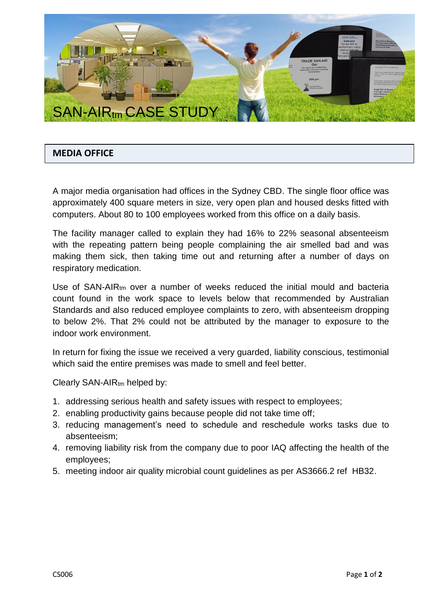

## **MEDIA OFFICE**

A major media organisation had offices in the Sydney CBD. The single floor office was approximately 400 square meters in size, very open plan and housed desks fitted with computers. About 80 to 100 employees worked from this office on a daily basis.

The facility manager called to explain they had 16% to 22% seasonal absenteeism with the repeating pattern being people complaining the air smelled bad and was making them sick, then taking time out and returning after a number of days on respiratory medication.

Use of SAN-AIRt<sub>m</sub> over a number of weeks reduced the initial mould and bacteria count found in the work space to levels below that recommended by Australian Standards and also reduced employee complaints to zero, with absenteeism dropping to below 2%. That 2% could not be attributed by the manager to exposure to the indoor work environment.

In return for fixing the issue we received a very guarded, liability conscious, testimonial which said the entire premises was made to smell and feel better.

Clearly SAN-AIRtm helped by:

- 1. addressing serious health and safety issues with respect to employees;
- 2. enabling productivity gains because people did not take time off;
- 3. reducing management's need to schedule and reschedule works tasks due to absenteeism;
- 4. removing liability risk from the company due to poor IAQ affecting the health of the employees;
- 5. meeting indoor air quality microbial count guidelines as per AS3666.2 ref HB32.